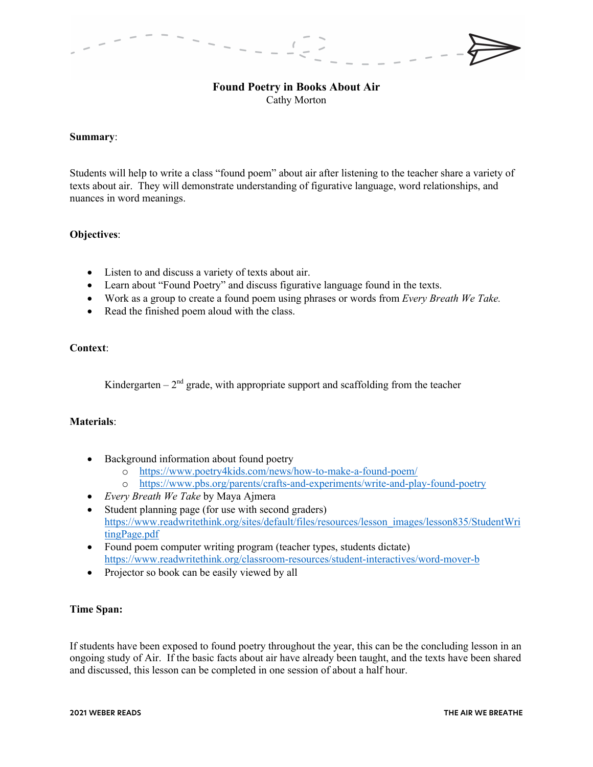# **Found Poetry in Books About Air**

Cathy Morton

## **Summary**:

Students will help to write a class "found poem" about air after listening to the teacher share a variety of texts about air. They will demonstrate understanding of figurative language, word relationships, and nuances in word meanings.

# **Objectives**:

- Listen to and discuss a variety of texts about air.
- Learn about "Found Poetry" and discuss figurative language found in the texts.
- Work as a group to create a found poem using phrases or words from *Every Breath We Take.*
- Read the finished poem aloud with the class.

#### **Context**:

Kindergarten –  $2<sup>nd</sup>$  grade, with appropriate support and scaffolding from the teacher

# **Materials**:

- Background information about found poetry
	- o https://www.poetry4kids.com/news/how-to-make-a-found-poem/
	- o https://www.pbs.org/parents/crafts-and-experiments/write-and-play-found-poetry
- *Every Breath We Take* by Maya Ajmera
- Student planning page (for use with second graders) https://www.readwritethink.org/sites/default/files/resources/lesson\_images/lesson835/StudentWri tingPage.pdf
- Found poem computer writing program (teacher types, students dictate) https://www.readwritethink.org/classroom-resources/student-interactives/word-mover-b
- Projector so book can be easily viewed by all

#### **Time Span:**

If students have been exposed to found poetry throughout the year, this can be the concluding lesson in an ongoing study of Air. If the basic facts about air have already been taught, and the texts have been shared and discussed, this lesson can be completed in one session of about a half hour.